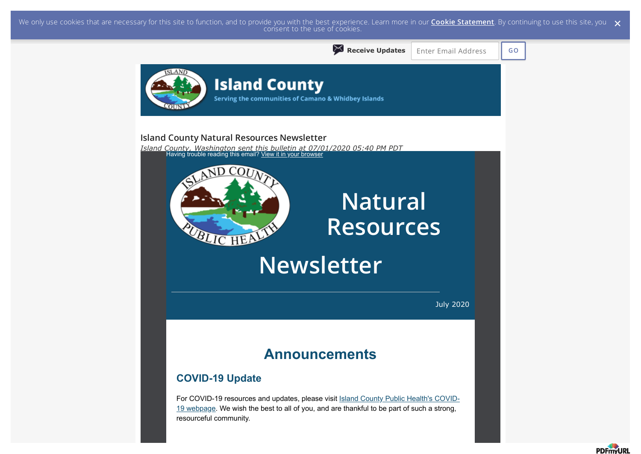We only use cookies that are necessary for this site to function, and to provide you with the best experience. Learn more in our <mark>Cookie Statement</mark>. By continuing to use this site, you  $\,\,\times\,$  consent to the use of cookie



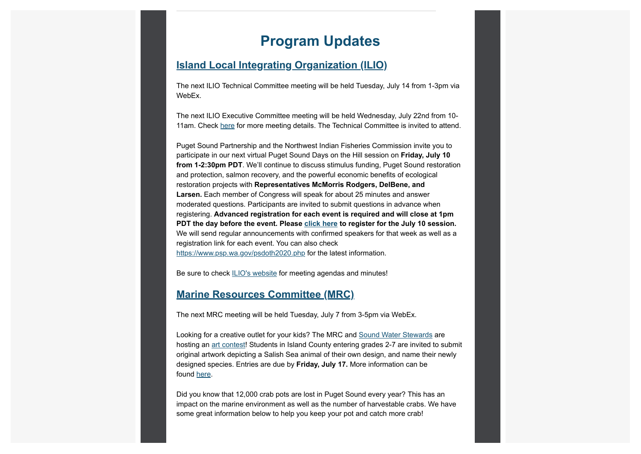## **Program Updates**

#### **Island Local Integrating Organization (ILIO)**

The next ILIO Technical Committee meeting will be held Tuesday, July 14 from 1-3pm via WebEx.

The next ILIO Executive Committee meeting will be held Wednesday, July 22nd from 10- 11am. Check here for more meeting details. The Technical Committee is invited to attend.

Puget Sound Partnership and the Northwest Indian Fisheries Commission invite you to participate in our next virtual Puget Sound Days on the Hill session on **Friday, July 10 from 1-2:30pm PDT**. We'll continue to discuss stimulus funding, Puget Sound restoration and protection, salmon recovery, and the powerful economic benefits of ecological restoration projects with **Representatives McMorris Rodgers, DelBene, and Larsen.** Each member of Congress will speak for about 25 minutes and answer moderated questions. Participants are invited to submit questions in advance when registering. **Advanced registration for each event is required and will close at 1pm PDT the day before the event. Please click here to register for the July 10 session.** We will send regular announcements with confirmed speakers for that week as well as a registration link for each event. You can also check

https://www.psp.wa.gov/psdoth2020.php for the latest information.

Be sure to check **ILIO's website** for meeting agendas and minutes!

#### **Marine Resources Committee (MRC)**

The next MRC meeting will be held Tuesday, July 7 from 3-5pm via WebEx.

Looking for a creative outlet for your kids? The MRC and Sound Water Stewards are hosting an art contest! Students in Island County entering grades 2-7 are invited to submit original artwork depicting a Salish Sea animal of their own design, and name their newly designed species. Entries are due by **Friday, July 17.** More information can be found here.

Did you know that 12,000 crab pots are lost in Puget Sound every year? This has an impact on the marine environment as well as the number of harvestable crabs. We have some great information below to help you keep your pot and catch more crab!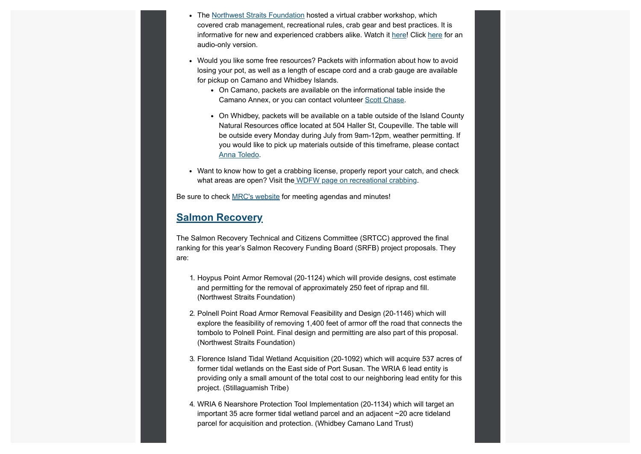- The Northwest Straits Foundation hosted a virtual crabber workshop, which covered crab management, recreational rules, crab gear and best practices. It is informative for new and experienced crabbers alike. Watch it here! Click here for an audio-only version.
- Would you like some free resources? Packets with information about how to avoid losing your pot, as well as a length of escape cord and a crab gauge are available for pickup on Camano and Whidbey Islands.
	- On Camano, packets are available on the informational table inside the Camano Annex, or you can contact volunteer Scott Chase.
	- On Whidbey, packets will be available on a table outside of the Island County Natural Resources office located at 504 Haller St, Coupeville. The table will be outside every Monday during July from 9am-12pm, weather permitting. If you would like to pick up materials outside of this timeframe, please contact Anna Toledo.
- Want to know how to get a crabbing license, properly report your catch, and check what areas are open? Visit the WDFW page on recreational crabbing.

Be sure to check MRC's website for meeting agendas and minutes!

#### **Salmon Recovery**

The Salmon Recovery Technical and Citizens Committee (SRTCC) approved the final ranking for this year's Salmon Recovery Funding Board (SRFB) project proposals. They are:

- 1. Hoypus Point Armor Removal (20-1124) which will provide designs, cost estimate and permitting for the removal of approximately 250 feet of riprap and fill. (Northwest Straits Foundation)
- 2. Polnell Point Road Armor Removal Feasibility and Design (20-1146) which will explore the feasibility of removing 1,400 feet of armor off the road that connects the tombolo to Polnell Point. Final design and permitting are also part of this proposal. (Northwest Straits Foundation)
- 3. Florence Island Tidal Wetland Acquisition (20-1092) which will acquire 537 acres of former tidal wetlands on the East side of Port Susan. The WRIA 6 lead entity is providing only a small amount of the total cost to our neighboring lead entity for this project. (Stillaguamish Tribe)
- 4. WRIA 6 Nearshore Protection Tool Implementation (20-1134) which will target an important 35 acre former tidal wetland parcel and an adjacent ~20 acre tideland parcel for acquisition and protection. (Whidbey Camano Land Trust)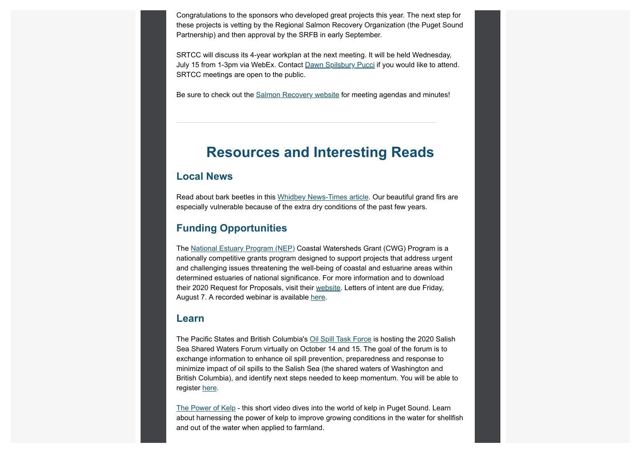Congratulations to the sponsors who developed great projects this year. The next step for these projects is vetting by the Regional Salmon Recovery Organization (the Puget Sound Partnership) and then approval by the SRFB in early September.

SRTCC will discuss its 4-year workplan at the next meeting. It will be held Wednesday, July 15 from 1-3pm via WebEx. Contact Dawn Spilsbury Pucci if you would like to attend. SRTCC meetings are open to the public.

Be sure to check out the Salmon Recovery website for meeting agendas and minutes!

## **Resources and Interesting Reads**

### **Local News**

Read about bark beetles in this Whidbey News-Times article. Our beautiful grand firs are especially vulnerable because of the extra dry conditions of the past few years.

#### **Funding Opportunities**

The National Estuary Program (NEP) Coastal Watersheds Grant (CWG) Program is a nationally competitive grants program designed to support projects that address urgent and challenging issues threatening the well-being of coastal and estuarine areas within determined estuaries of national significance. For more information and to download their 2020 Request for Proposals, visit their website. Letters of intent are due Friday, August 7. A recorded webinar is available here.

#### **Learn**

The Pacific States and British Columbia's Oil Spill Task Force is hosting the 2020 Salish Sea Shared Waters Forum virtually on October 14 and 15. The goal of the forum is to exchange information to enhance oil spill prevention, preparedness and response to minimize impact of oil spills to the Salish Sea (the shared waters of Washington and British Columbia), and identify next steps needed to keep momentum. You will be able to register here.

The Power of Kelp - this short video dives into the world of kelp in Puget Sound. Learn about harnessing the power of kelp to improve growing conditions in the water for shellfish and out of the water when applied to farmland.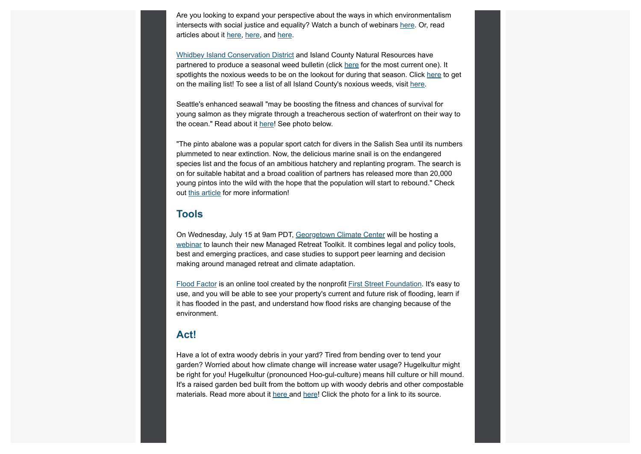Are you looking to expand your perspective about the ways in which environmentalism intersects with social justice and equality? Watch a bunch of webinars here. Or, read articles about it here, here, and here.

Whidbey Island Conservation District and Island County Natural Resources have partnered to produce a seasonal weed bulletin (click here for the most current one). It spotlights the noxious weeds to be on the lookout for during that season. Click here to get on the mailing list! To see a list of all Island County's noxious weeds, visit here.

Seattle's enhanced seawall "may be boosting the fitness and chances of survival for young salmon as they migrate through a treacherous section of waterfront on their way to the ocean." Read about it here! See photo below.

"The pinto abalone was a popular sport catch for divers in the Salish Sea until its numbers plummeted to near extinction. Now, the delicious marine snail is on the endangered species list and the focus of an ambitious hatchery and replanting program. The search is on for suitable habitat and a broad coalition of partners has released more than 20,000 young pintos into the wild with the hope that the population will start to rebound." Check out this article for more information!

#### **Tools**

On Wednesday, July 15 at 9am PDT, Georgetown Climate Center will be hosting a webinar to launch their new Managed Retreat Toolkit. It combines legal and policy tools, best and emerging practices, and case studies to support peer learning and decision making around managed retreat and climate adaptation.

Flood Factor is an online tool created by the nonprofit First Street Foundation. It's easy to use, and you will be able to see your property's current and future risk of flooding, learn if it has flooded in the past, and understand how flood risks are changing because of the environment.

#### **Act!**

Have a lot of extra woody debris in your yard? Tired from bending over to tend your garden? Worried about how climate change will increase water usage? Hugelkultur might be right for you! Hugelkultur (pronounced Hoo-gul-culture) means hill culture or hill mound. It's a raised garden bed built from the bottom up with woody debris and other compostable materials. Read more about it here and here! Click the photo for a link to its source.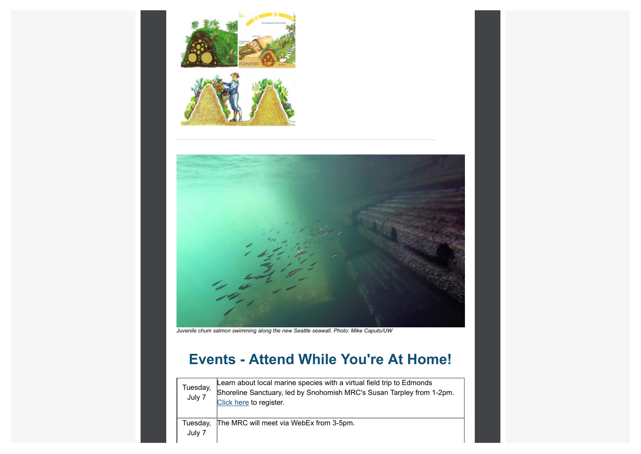





*Juvenile chum salmon swimming along the new Seattle seawall. Photo: Mike Caputo/UW*

# **Events - Attend While You're At Home!**

| Tuesday,<br>July 7 | Learn about local marine species with a virtual field trip to Edmonds<br>Shoreline Sanctuary, led by Snohomish MRC's Susan Tarpley from 1-2pm.<br>Click here to register. |
|--------------------|---------------------------------------------------------------------------------------------------------------------------------------------------------------------------|
| Tuesday,<br>July 7 | The MRC will meet via WebEx from 3-5pm.                                                                                                                                   |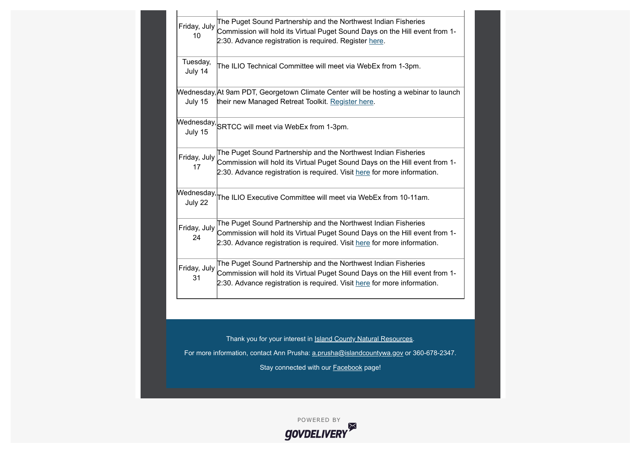| Friday, July<br>10    | The Puget Sound Partnership and the Northwest Indian Fisheries<br>Commission will hold its Virtual Puget Sound Days on the Hill event from 1-<br>2:30. Advance registration is required. Register here.                   |
|-----------------------|---------------------------------------------------------------------------------------------------------------------------------------------------------------------------------------------------------------------------|
| Tuesday,<br>July 14   | The ILIO Technical Committee will meet via WebEx from 1-3pm.                                                                                                                                                              |
| July 15               | Wednesday, At 9am PDT, Georgetown Climate Center will be hosting a webinar to launch<br>their new Managed Retreat Toolkit. Register here.                                                                                 |
| July 15               | $\mathsf{We}$ dnesday, $\mathsf{SRTCC}$ will meet via WebEx from 1-3pm.                                                                                                                                                   |
| Friday, July<br>17    | The Puget Sound Partnership and the Northwest Indian Fisheries<br>Commission will hold its Virtual Puget Sound Days on the Hill event from 1-<br>2:30. Advance registration is required. Visit here for more information. |
| Wednesday,<br>July 22 | The ILIO Executive Committee will meet via WebEx from 10-11am.                                                                                                                                                            |
| Friday, July<br>24    | The Puget Sound Partnership and the Northwest Indian Fisheries<br>Commission will hold its Virtual Puget Sound Days on the Hill event from 1-<br>2:30. Advance registration is required. Visit here for more information. |
| Friday, July<br>31    | The Puget Sound Partnership and the Northwest Indian Fisheries<br>Commission will hold its Virtual Puget Sound Days on the Hill event from 1-<br>2:30. Advance registration is required. Visit here for more information. |
|                       |                                                                                                                                                                                                                           |
|                       | Thank you for your interest in <b>Island County Natural Resources</b> .                                                                                                                                                   |
|                       | For more information, contact Ann Prusha: a.prusha@islandcountywa.gov or 360-678-2347.                                                                                                                                    |
|                       | Stay connected with our <b>Facebook</b> page!                                                                                                                                                                             |